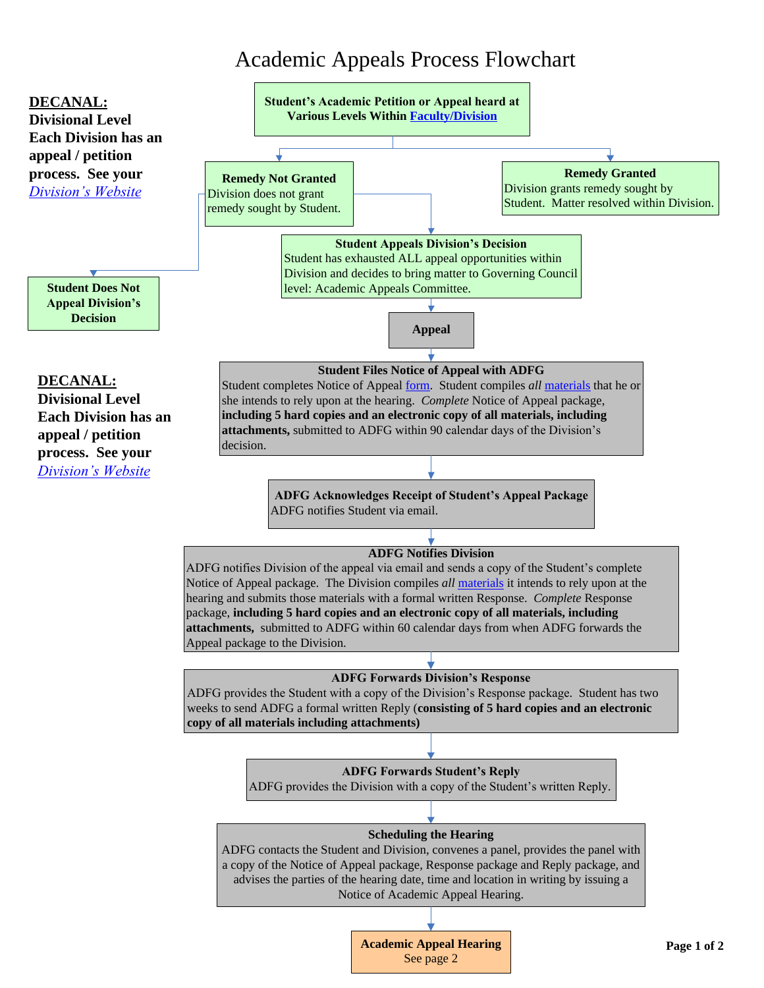## Academic Appeals Process Flowchart